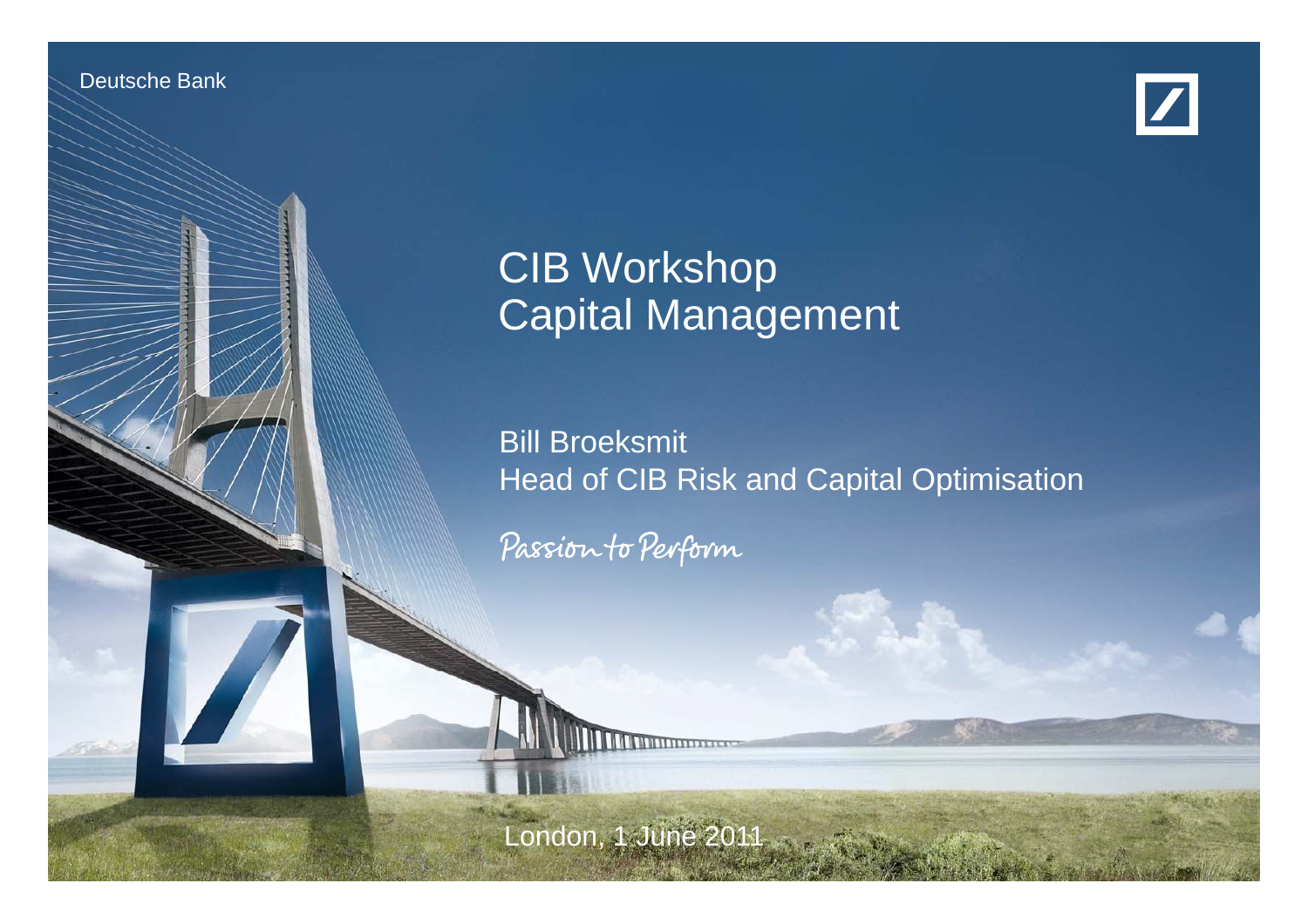Deutsche Bank

Investor Relations





Bill Broeksmith

# CIB Workshop Capital Management

Bill Broeksmit Head of CIB Risk and Capital Optimisation

Passion to Perform

**CIB Workshop, 1 June 2011**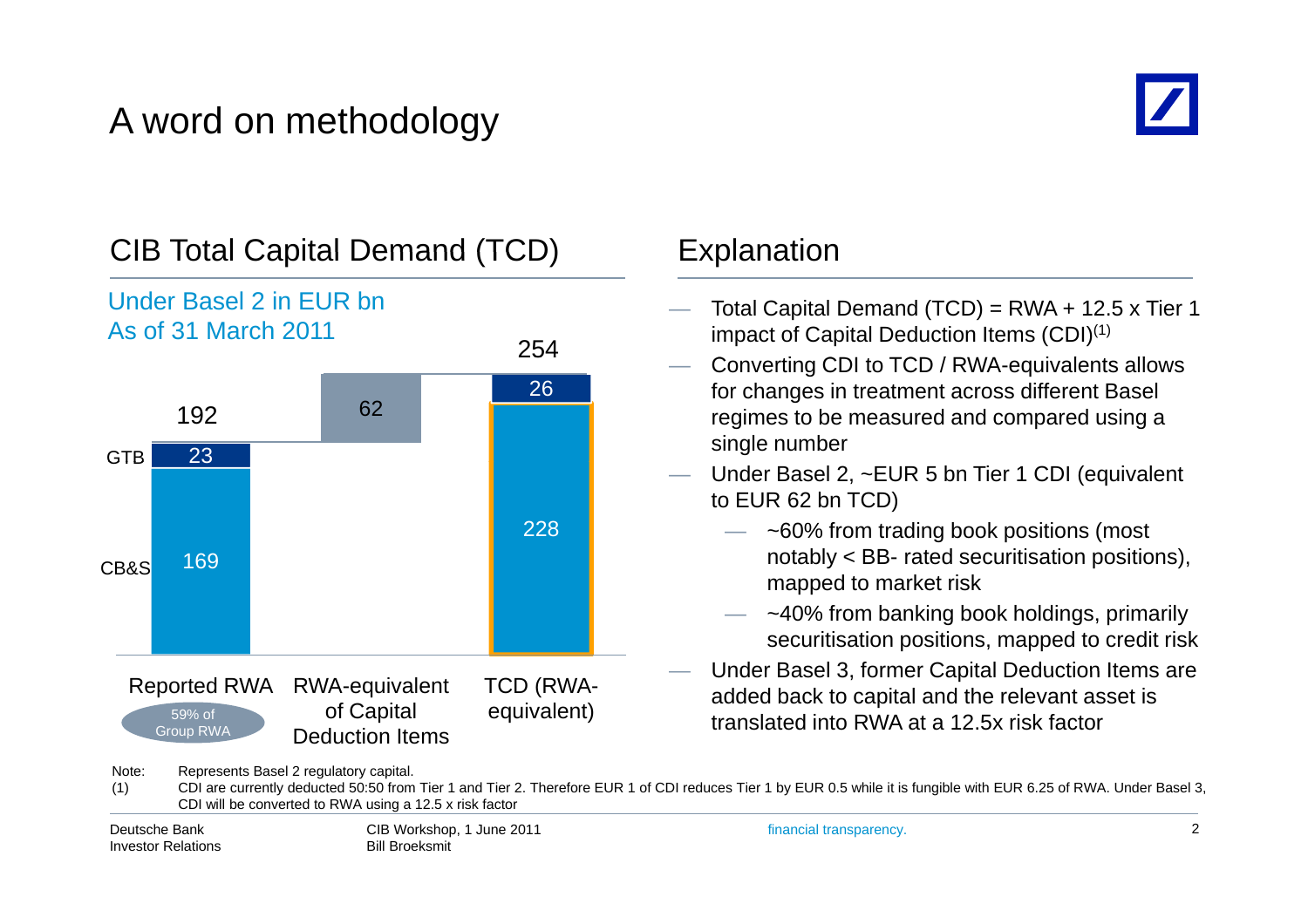# A word on methodology





- Total Capital Demand  $(TCD) = RWA + 12.5 \times Tier 1$ impact of Capital Deduction Items (CDI)(1)
- Converting CDI to TCD / RWA-equivalents allows for changes in treatment across different Basel regimes to be measured and compared using a single number
- Under Basel 2, ~EUR 5 bn Tier 1 CDI (equivalent to EUR 62 bn TCD)
	- ~60% from trading book positions (most notably  $<$  BB- rated securitisation positions), mapped to market risk
	- ~40% from banking book holdings, primarily securitisation positions, mapped to credit risk
- Under Basel <sup>3</sup> former Capital Deduction Items are Reported RWA RWA-equivalent 3, added back to capital and the relevant asset is

Note: Represents Basel 2 regulatory capital.

(1) CDI are currently deducted 50:50 from Tier 1 and Tier 2. Therefore EUR 1 of CDI reduces Tier 1 by EUR 0.5 while it is fungible with EUR 6.25 of RWA. Under Basel 3, CDI will be converted to RWA using a 12.5 x risk factor

| Deutsche Bank      |  |
|--------------------|--|
| Investor Relations |  |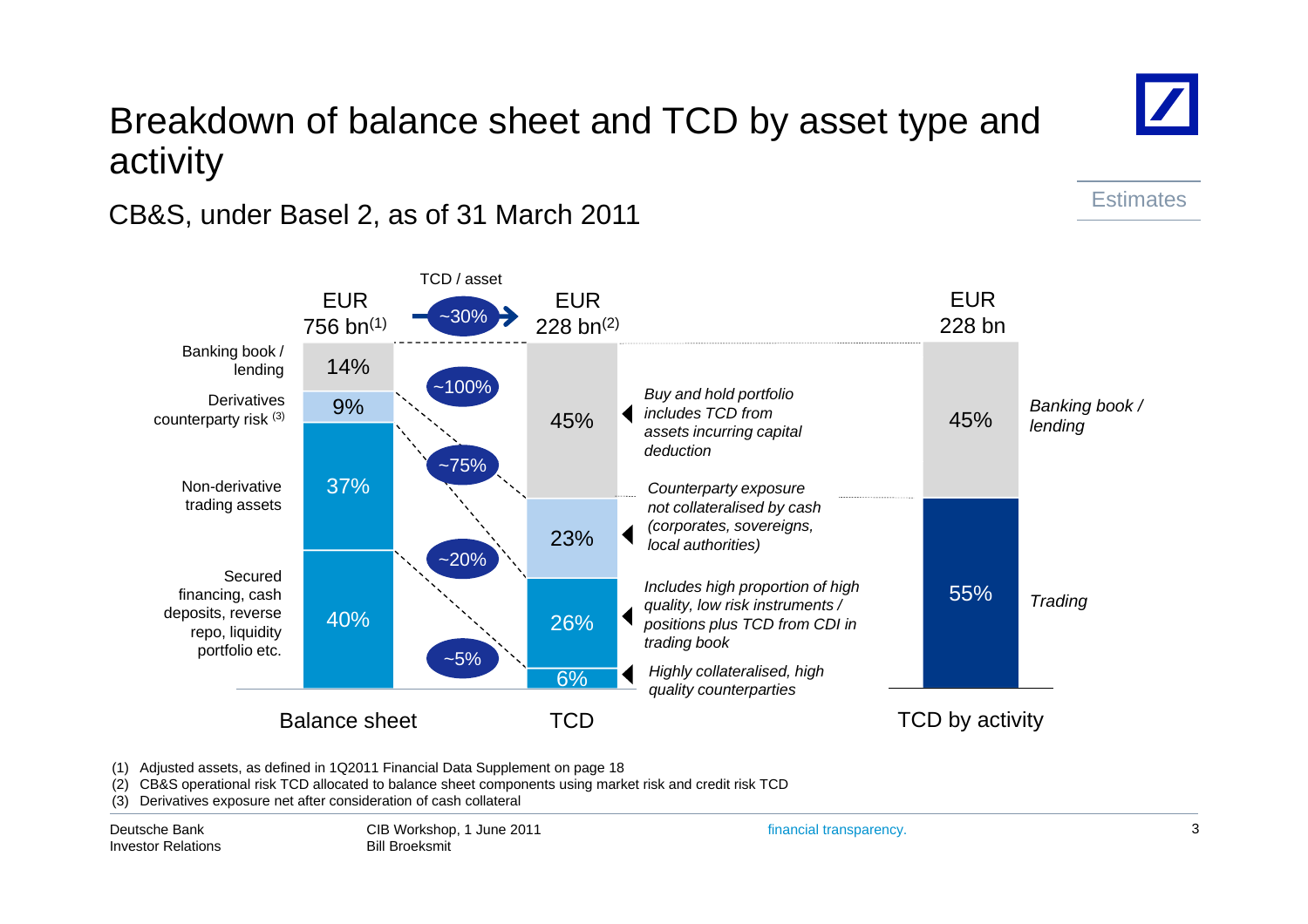### Breakdown of balance sheet and TCD by asset type and activity

### CB&S, under Basel 2, as of 31 March 2011



(1) Adjusted assets, as defined in 1Q2011 Financial Data Supplement on page 18

(2) CB&S operational risk TCD allocated to balance sheet components using market risk and credit risk TCD

(3) Derivatives exposure net after consideration of cash collateral

Deutsche BankInvestor Relations

**Estimates**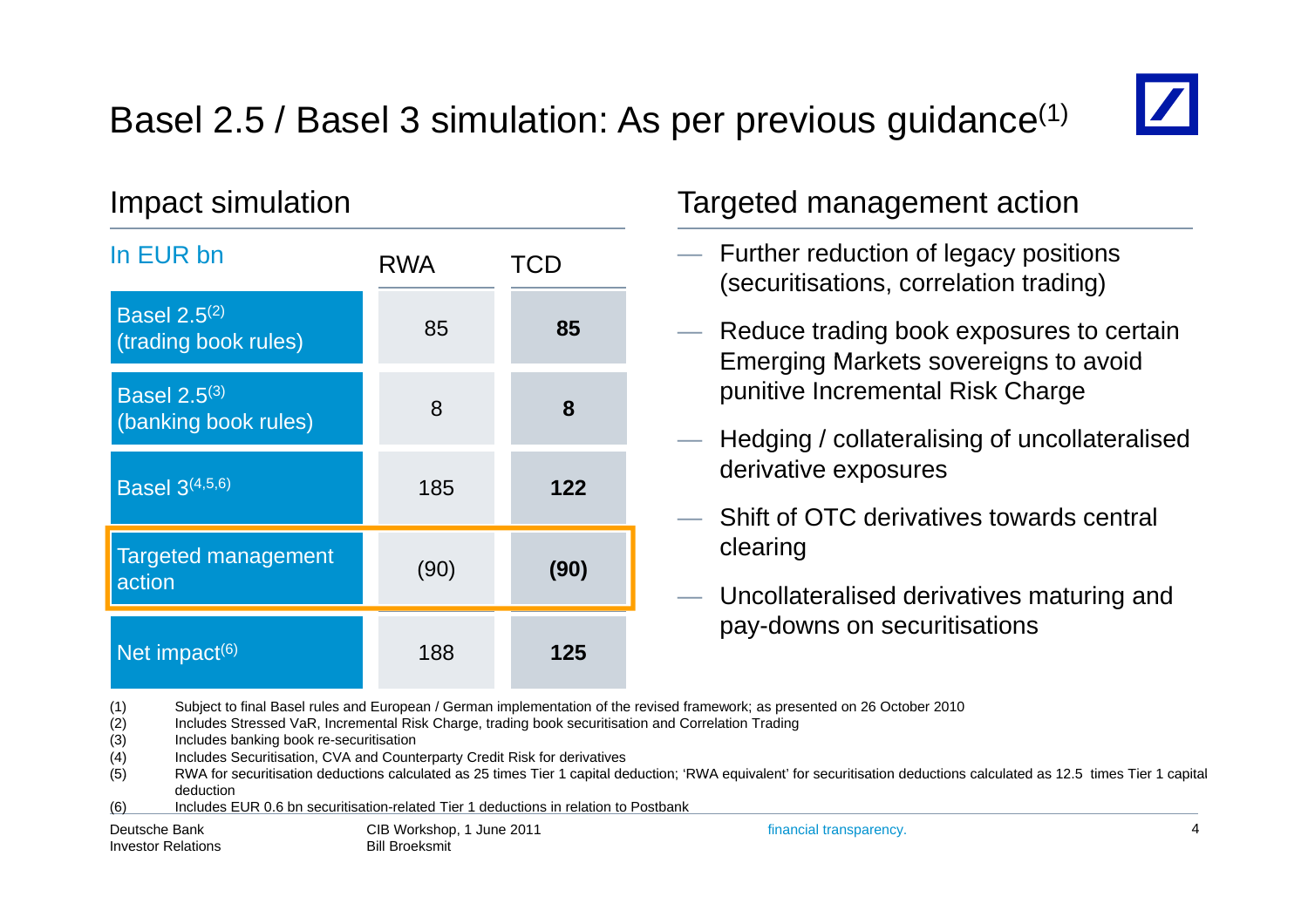# Basel 2.5 / Basel 3 simulation: As per previous guidance<sup>(1)</sup>



| In EUR bn                                   | <b>RWA</b> | <b>TCD</b> |  |
|---------------------------------------------|------------|------------|--|
| <b>Basel 2.5(2)</b><br>(trading book rules) | 85         | 85         |  |
| <b>Basel 2.5(3)</b><br>(banking book rules) | 8          | 8          |  |
| <b>Basel</b> $3^{(4,5,6)}$                  | 185        | 122        |  |
| <b>Targeted management</b><br>action        | (90)       | (90)       |  |
| Net impact $(6)$                            | 188        | 125        |  |

### Impact simulation Targeted management action

- Further reduction of legacy positions (securitisations, correlation trading)
- Reduce trading book exposures to certain Emerging Markets sovereigns to avoid punitive Incremental Risk Charge
- Hedging / collateralising of uncollateralised derivative exposures
- Shift of OTC derivatives towards central clearing
- Uncollateralised derivatives maturing and pay-downs on securitisations

(1) Subject to final Basel rules and European / German implementation of the revised framework; as presented on 26 October 2010

(2) Includes Stressed VaR, Incremental Risk Charge, trading book securitisation and Correlation Trading

(3) Includes banking book re-securitisation

(4) Includes Securitisation, CVA and Counterparty Credit Risk for derivatives

(5) RWA for securitisation deductions calculated as 25 times Tier 1 capital deduction; 'RWA equivalent' for securitisation deductions calculated as 12.5 times Tier 1 capital deduction

(6) Includes EUR 0.6 bn securitisation-related Tier 1 deductions in relation to Postbank

Deutsche BankInvestor Relations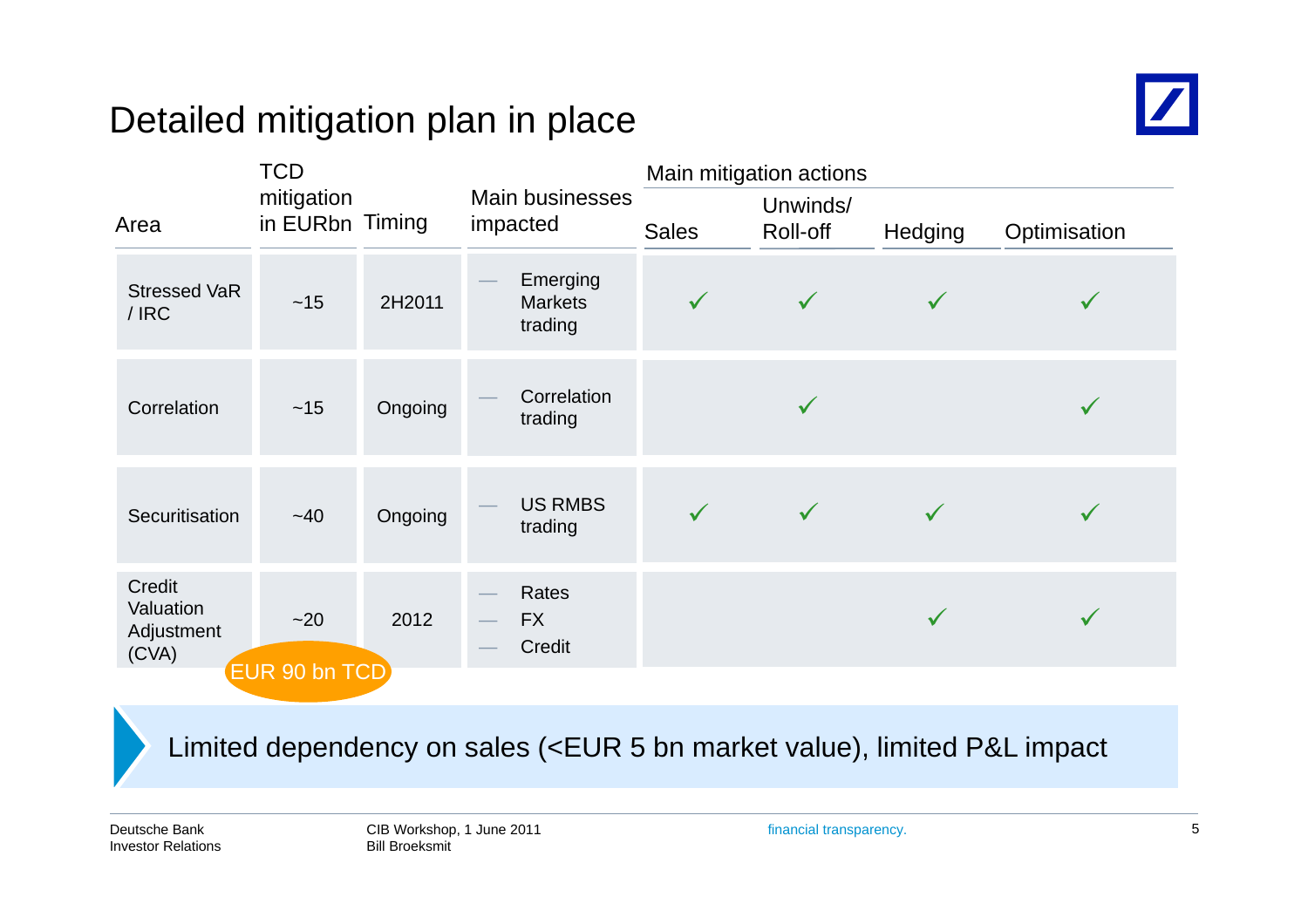# Detailed mitigation plan in place



|                                            | <b>TCD</b>                    |         |                                       | Main mitigation actions |                      |              |              |
|--------------------------------------------|-------------------------------|---------|---------------------------------------|-------------------------|----------------------|--------------|--------------|
| Area                                       | mitigation<br>in EURbn Timing |         | Main businesses<br>impacted           | <b>Sales</b>            | Unwinds/<br>Roll-off | Hedging      | Optimisation |
| <b>Stressed VaR</b><br>/IRC                | $~15$                         | 2H2011  | Emerging<br><b>Markets</b><br>trading | $\checkmark$            | $\checkmark$         | $\checkmark$ | $\checkmark$ |
| Correlation                                | $~15$                         | Ongoing | Correlation<br>trading                |                         | $\checkmark$         |              | $\checkmark$ |
| Securitisation                             | $-40$                         | Ongoing | <b>US RMBS</b><br>trading             | $\checkmark$            | $\checkmark$         | $\checkmark$ | $\checkmark$ |
| Credit<br>Valuation<br>Adjustment<br>(CVA) | $-20$<br>EUR 90 bn TCD        | 2012    | Rates<br><b>FX</b><br>Credit          |                         |                      | $\checkmark$ | $\checkmark$ |

Limited dependency on sales (<EUR 5 bn market value), limited P&L impact

Deutsche BankInvestor Relations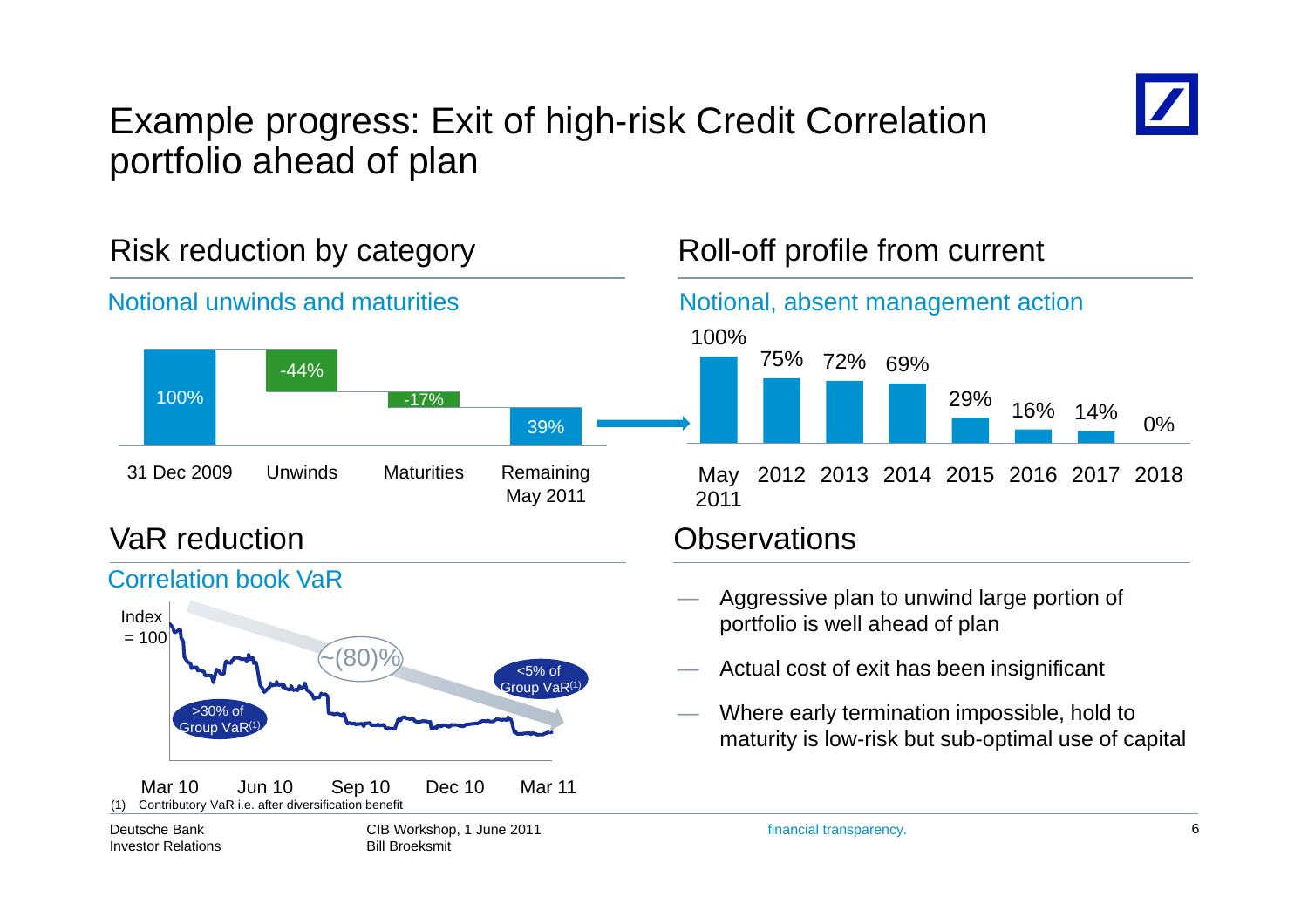

## Example progress: Exit of high-risk Credit Correlation portfolio ahead of plan

Notional unwinds and maturities Notional, absent management action 100%75% 72% 69%100%-44%-17%39%31 Dec 2009 Unwinds Maturities Remaining VaR reduction**Observations** 2011May 2011 Correlation book VaR

### $\sim$  (80)%  $\sim$   $\sim$  5% of Index  $= 100$ Group VaR<sup>(1</sup> >30% of Group VaR(1) CIB Workshop, 1 June 2011 Deutsche BankMar 10 Jun 10 Sep 10 Dec 10 Mar 11 (1) Contributory VaR i.e. after diversification benefit

Investor Relations

Bill Broeksmit

### Risk reduction by category Roll -off profile from current



- $-$  Actual cost of exit has been insignificant
- Where early termination impossible, hold to maturity is low-risk but sub-optimal use of capital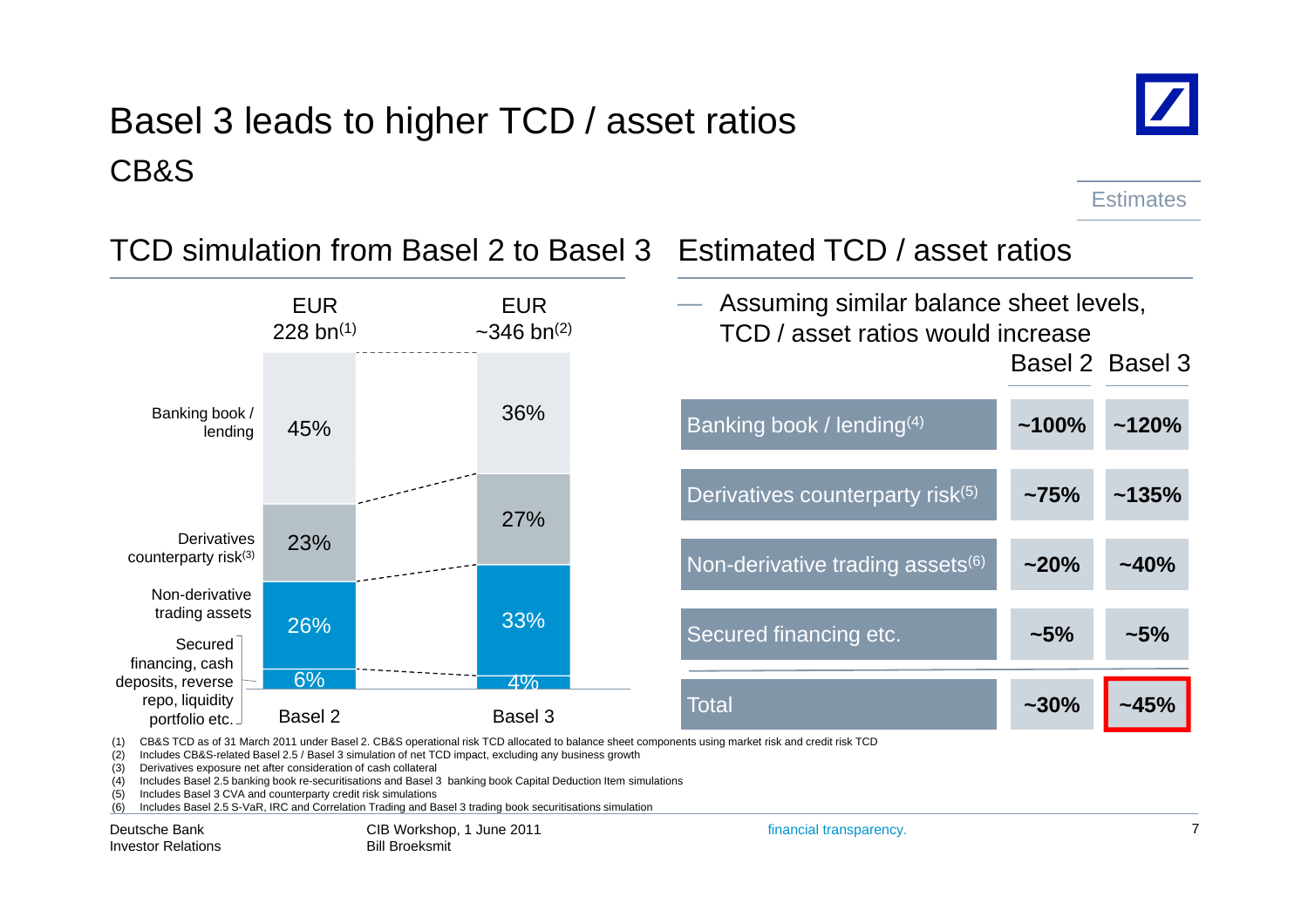# Basel 3 leads to higher TCD / asset ratios CB&S



**Estimates** 



TCD simulation from Basel 2 to Basel 3 Estimated TCD / asset ratios

(1) CB&S TCD as of 31 March 2011 under Basel 2. CB&S operational risk TCD allocated to balance sheet components using market risk and credit risk TCD

(2) Includes CB&S-related Basel 2.5 / Basel 3 simulation of net TCD impact, excluding any business growth

(3) Derivatives exposure net after consideration of cash collateral

(4) Includes Basel 2.5 banking book re-securitisations and Basel 3 banking book Capital Deduction Item simulations

(5) Includes Basel 3 CVA and counterparty credit risk simulations

(6) Includes Basel 2.5 S-VaR, IRC and Correlation Trading and Basel 3 trading book securitisations simulation

Deutsche BankInvestor Relations CIB Workshop, 1 June 2011 Bill Broeksmit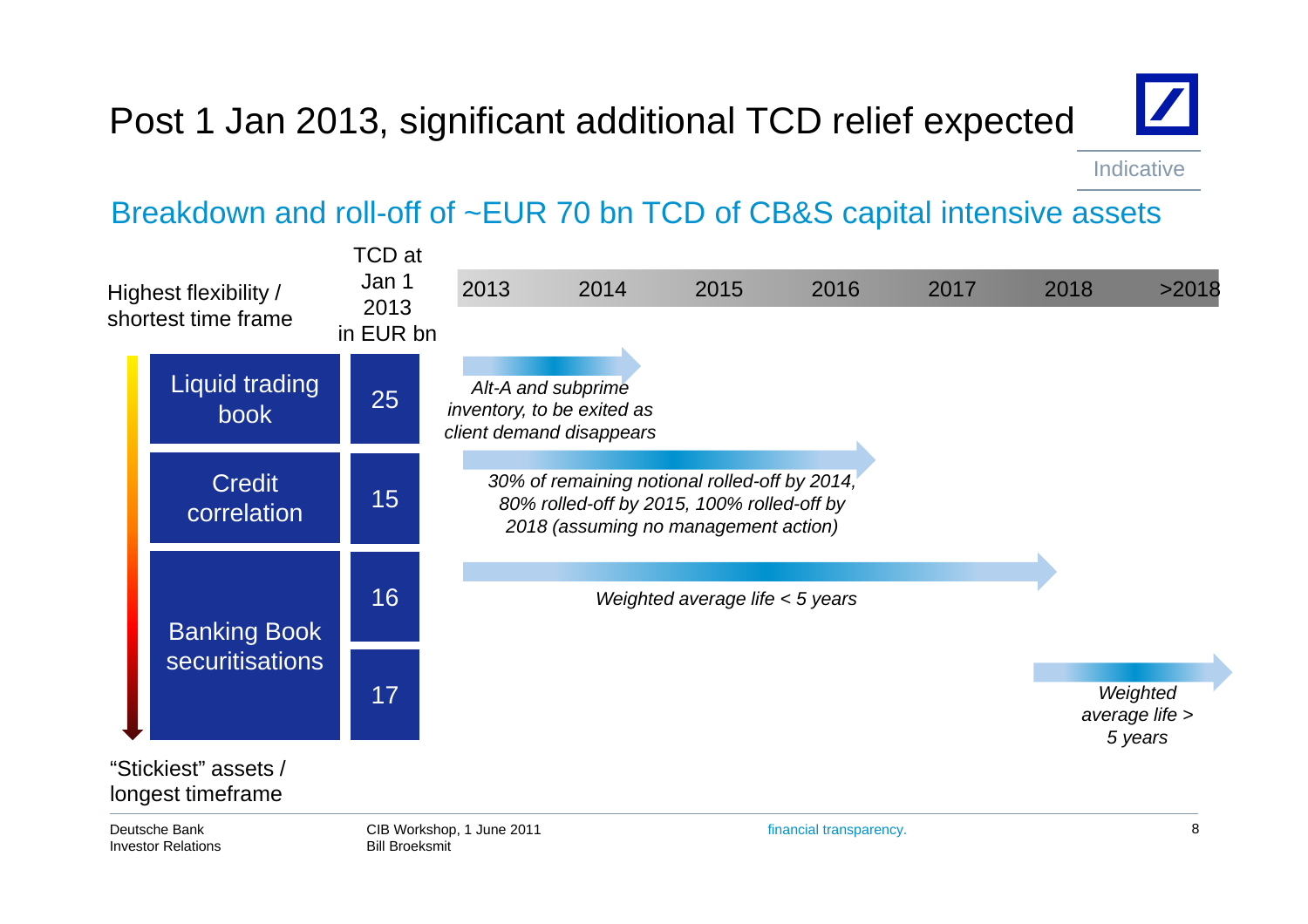# Post 1 Jan 2013, significant additional TCD relief expected



Indicative

### Breakdown and roll-off of ~EUR 70 bn TCD of CB&S capital intensive assets

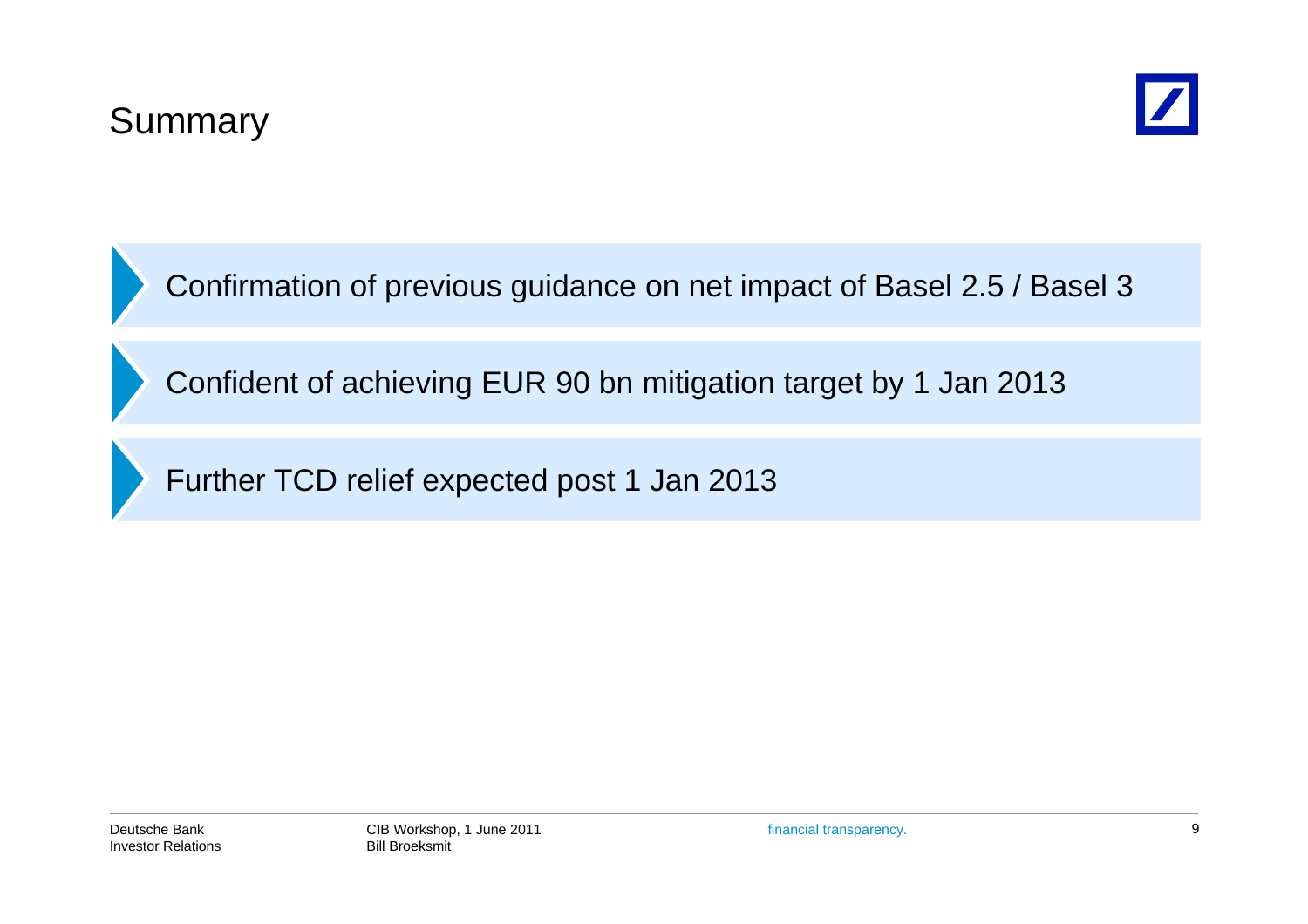



Confirmation of previous guidance on net impact of Basel 2.5 / Basel 3

Confident of achieving EUR 90 bn mitigation target by 1 Jan 2013

Further TCD relief expected post 1 Jan 2013